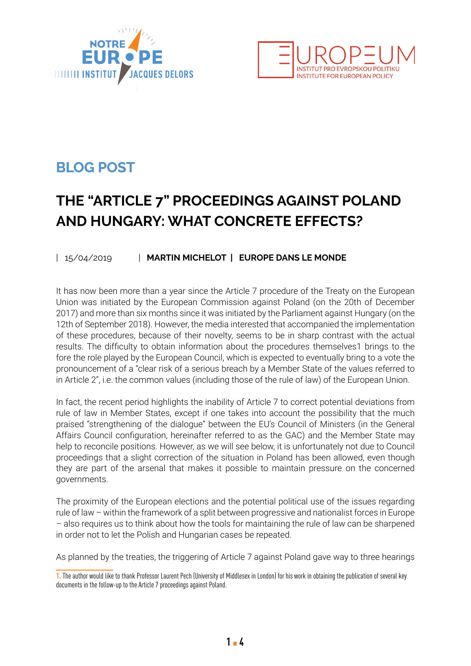



## **BLOG POST**

## **THE "ARTICLE 7" PROCEEDINGS AGAINST POLAND AND HUNGARY: WHAT CONCRETE EFFECTS?**

## | 15/04/2019 | **MARTIN MICHELOT | EUROPE DANS LE MONDE**

It has now been more than a year since the Article 7 procedure of the Treaty on the European Union was initiated by the European Commission against Poland (on the 20th of December 2017) and more than six months since it was initiated by the Parliament against Hungary (on the 12th of September 2018). However, the media interested that accompanied the implementation of these procedures, because of their novelty, seems to be in sharp contrast with the actual results. The difficulty to obtain information about the procedures themselves1 brings to the fore the role played by the European Council, which is expected to eventually bring to a vote the pronouncement of a "clear risk of a serious breach by a Member State of the values referred to in Article 2", i.e. the common values (including those of the rule of law) of the European Union.

In fact, the recent period highlights the inability of Article 7 to correct potential deviations from rule of law in Member States, except if one takes into account the possibility that the much praised "strengthening of the dialogue" between the EU's Council of Ministers (in the General Affairs Council configuration, hereinafter referred to as the GAC) and the Member State may help to reconcile positions. However, as we will see below, it is unfortunately not due to Council proceedings that a slight correction of the situation in Poland has been allowed, even though they are part of the arsenal that makes it possible to maintain pressure on the concerned governments.

The proximity of the European elections and the potential political use of the issues regarding rule of law – within the framework of a split between progressive and nationalist forces in Europe – also requires us to think about how the tools for maintaining the rule of law can be sharpened in order not to let the Polish and Hungarian cases be repeated.

As planned by the treaties, the triggering of Article 7 against Poland gave way to three hearings

**<sup>1.</sup>** The author would like to thank Professor Laurent Pech (University of Middlesex in London) for his work in obtaining the publication of several key documents in the follow-up to the Article 7 proceedings against Poland.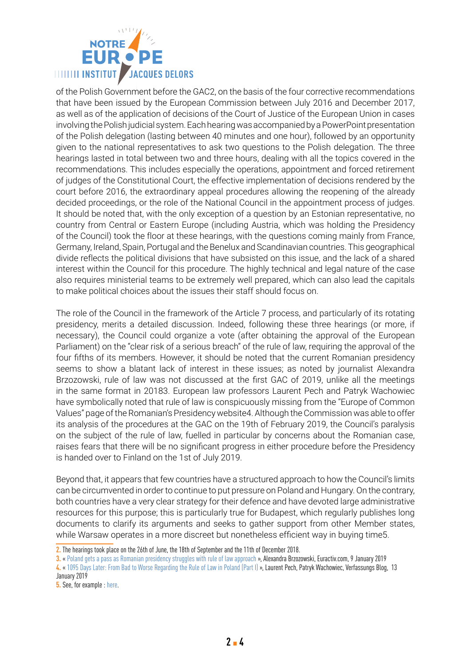

of the Polish Government before the GAC2, on the basis of the four corrective recommendations that have been issued by the European Commission between July 2016 and December 2017, as well as of the application of decisions of the Court of Justice of the European Union in cases involving the Polish judicial system. Each hearing was accompanied by a PowerPoint presentation of the Polish delegation (lasting between 40 minutes and one hour), followed by an opportunity given to the national representatives to ask two questions to the Polish delegation. The three hearings lasted in total between two and three hours, dealing with all the topics covered in the recommendations. This includes especially the operations, appointment and forced retirement of judges of the Constitutional Court, the effective implementation of decisions rendered by the court before 2016, the extraordinary appeal procedures allowing the reopening of the already decided proceedings, or the role of the National Council in the appointment process of judges. It should be noted that, with the only exception of a question by an Estonian representative, no country from Central or Eastern Europe (including Austria, which was holding the Presidency of the Council) took the floor at these hearings, with the questions coming mainly from France, Germany, Ireland, Spain, Portugal and the Benelux and Scandinavian countries. This geographical divide reflects the political divisions that have subsisted on this issue, and the lack of a shared interest within the Council for this procedure. The highly technical and legal nature of the case also requires ministerial teams to be extremely well prepared, which can also lead the capitals to make political choices about the issues their staff should focus on.

The role of the Council in the framework of the Article 7 process, and particularly of its rotating presidency, merits a detailed discussion. Indeed, following these three hearings (or more, if necessary), the Council could organize a vote (after obtaining the approval of the European Parliament) on the "clear risk of a serious breach" of the rule of law, requiring the approval of the four fifths of its members. However, it should be noted that the current Romanian presidency seems to show a blatant lack of interest in these issues; as noted by journalist Alexandra Brzozowski, rule of law was not discussed at the first GAC of 2019, unlike all the meetings in the same format in 20183. European law professors Laurent Pech and Patryk Wachowiec have symbolically noted that rule of law is conspicuously missing from the "Europe of Common Values" page of the Romanian's Presidency website4. Although the Commission was able to offer its analysis of the procedures at the GAC on the 19th of February 2019, the Council's paralysis on the subject of the rule of law, fuelled in particular by concerns about the Romanian case, raises fears that there will be no significant progress in either procedure before the Presidency is handed over to Finland on the 1st of July 2019.

Beyond that, it appears that few countries have a structured approach to how the Council's limits can be circumvented in order to continue to put pressure on Poland and Hungary. On the contrary, both countries have a very clear strategy for their defence and have devoted large administrative resources for this purpose; this is particularly true for Budapest, which regularly publishes long documents to clarify its arguments and seeks to gather support from other Member states, while Warsaw operates in a more discreet but nonetheless efficient way in buying time5.

**<sup>2.</sup>** The hearings took place on the 26th of June, the 18th of September and the 11th of December 2018.

**<sup>3.</sup>** « [Poland gets a pass as Romanian presidency struggles with rule of law approach](https://www.euractiv.com/section/justice-home-affairs/news/poland-gets-a-pass-as-romanian-presidency-struggles-with-rule-of-law-approach/?_ga=2.26469565.1683849710.1554990471-614916844.1554990471) », Alexandra Brzozowski, Euractiv.com, 9 January 2019

**<sup>4.</sup>** « [1095 Days Later: From Bad to Worse Regarding the Rule of Law in Poland \(Part I\)](https://verfassungsblog.de/1095-days-later-from-bad-to-worse-regarding-the-rule-of-law-in-poland-part-i/) », Laurent Pech, Patryk Wachowiec, Verfassungs Blog, 13 January 2019

**<sup>5.</sup>** See, for example : [here](https://twitter.com/PatrykWachowiec/status/1115662157134422018).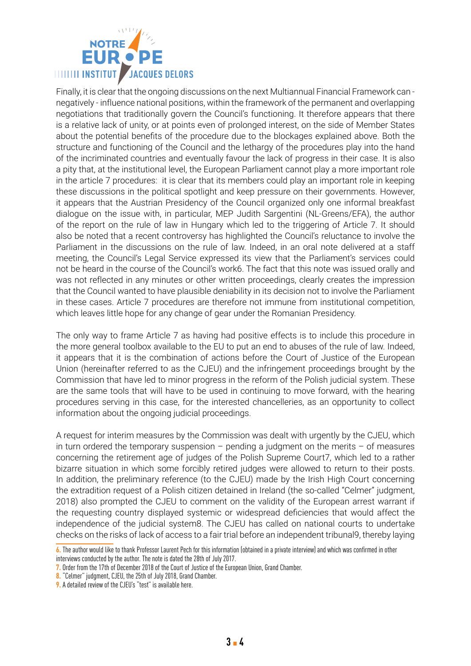

Finally, it is clear that the ongoing discussions on the next Multiannual Financial Framework can negatively - influence national positions, within the framework of the permanent and overlapping negotiations that traditionally govern the Council's functioning. It therefore appears that there is a relative lack of unity, or at points even of prolonged interest, on the side of Member States about the potential benefits of the procedure due to the blockages explained above. Both the structure and functioning of the Council and the lethargy of the procedures play into the hand of the incriminated countries and eventually favour the lack of progress in their case. It is also a pity that, at the institutional level, the European Parliament cannot play a more important role in the article 7 procedures: it is clear that its members could play an important role in keeping these discussions in the political spotlight and keep pressure on their governments. However, it appears that the Austrian Presidency of the Council organized only one informal breakfast dialogue on the issue with, in particular, MEP Judith Sargentini (NL-Greens/EFA), the author of the report on the rule of law in Hungary which led to the triggering of Article 7. It should also be noted that a recent controversy has highlighted the Council's reluctance to involve the Parliament in the discussions on the rule of law. Indeed, in an oral note delivered at a staff meeting, the Council's Legal Service expressed its view that the Parliament's services could not be heard in the course of the Council's work6. The fact that this note was issued orally and was not reflected in any minutes or other written proceedings, clearly creates the impression that the Council wanted to have plausible deniability in its decision not to involve the Parliament in these cases. Article 7 procedures are therefore not immune from institutional competition, which leaves little hope for any change of gear under the Romanian Presidency.

The only way to frame Article 7 as having had positive effects is to include this procedure in the more general toolbox available to the EU to put an end to abuses of the rule of law. Indeed, it appears that it is the combination of actions before the Court of Justice of the European Union (hereinafter referred to as the CJEU) and the infringement proceedings brought by the Commission that have led to minor progress in the reform of the Polish judicial system. These are the same tools that will have to be used in continuing to move forward, with the hearing procedures serving in this case, for the interested chancelleries, as an opportunity to collect information about the ongoing judicial proceedings.

A request for interim measures by the Commission was dealt with urgently by the CJEU, which in turn ordered the temporary suspension – pending a judgment on the merits – of measures concerning the retirement age of judges of the Polish Supreme Court7, which led to a rather bizarre situation in which some forcibly retired judges were allowed to return to their posts. In addition, the preliminary reference (to the CJEU) made by the Irish High Court concerning the extradition request of a Polish citizen detained in Ireland (the so-called "Celmer" judgment, 2018) also prompted the CJEU to comment on the validity of the European arrest warrant if the requesting country displayed systemic or widespread deficiencies that would affect the independence of the judicial system8. The CJEU has called on national courts to undertake checks on the risks of lack of access to a fair trial before an independent tribunal9, thereby laying

**<sup>6.</sup>** The author would like to thank Professor Laurent Pech for this information (obtained in a private interview) and which was confirmed in other interviews conducted by the author. The note is dated the 28th of July 2017.

**<sup>7.</sup>** Order from the 17th of December 2018 of the Court of Justice of the European Union, Grand Chamber.

**<sup>8.</sup>** "Celmer" judgment, CJEU, the 25th of July 2018, Grand Chamber.

**<sup>9.</sup>** A detailed review of the CJEU's "test" is available [here.](https://verfassungsblog.de/1095-days-later-from-bad-to-worse-regarding-the-rule-of-law-in-poland-part-ii/)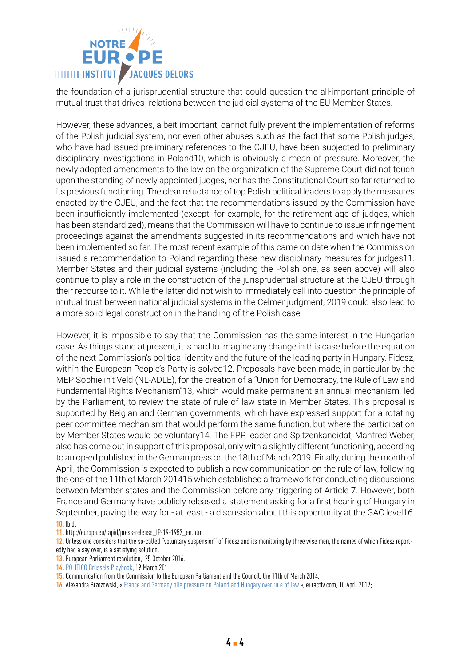

the foundation of a jurisprudential structure that could question the all-important principle of mutual trust that drives relations between the judicial systems of the EU Member States.

However, these advances, albeit important, cannot fully prevent the implementation of reforms of the Polish judicial system, nor even other abuses such as the fact that some Polish judges, who have had issued preliminary references to the CJEU, have been subjected to preliminary disciplinary investigations in Poland10, which is obviously a mean of pressure. Moreover, the newly adopted amendments to the law on the organization of the Supreme Court did not touch upon the standing of newly appointed judges, nor has the Constitutional Court so far returned to its previous functioning. The clear reluctance of top Polish political leaders to apply the measures enacted by the CJEU, and the fact that the recommendations issued by the Commission have been insufficiently implemented (except, for example, for the retirement age of judges, which has been standardized), means that the Commission will have to continue to issue infringement proceedings against the amendments suggested in its recommendations and which have not been implemented so far. The most recent example of this came on date when the Commission issued a recommendation to Poland regarding these new disciplinary measures for judges11. Member States and their judicial systems (including the Polish one, as seen above) will also continue to play a role in the construction of the jurisprudential structure at the CJEU through their recourse to it. While the latter did not wish to immediately call into question the principle of mutual trust between national judicial systems in the Celmer judgment, 2019 could also lead to a more solid legal construction in the handling of the Polish case.

However, it is impossible to say that the Commission has the same interest in the Hungarian case. As things stand at present, it is hard to imagine any change in this case before the equation of the next Commission's political identity and the future of the leading party in Hungary, Fidesz, within the European People's Party is solved12. Proposals have been made, in particular by the MEP Sophie in't Veld (NL-ADLE), for the creation of a "Union for Democracy, the Rule of Law and Fundamental Rights Mechanism"13, which would make permanent an annual mechanism, led by the Parliament, to review the state of rule of law state in Member States. This proposal is supported by Belgian and German governments, which have expressed support for a rotating peer committee mechanism that would perform the same function, but where the participation by Member States would be voluntary14. The EPP leader and Spitzenkandidat, Manfred Weber, also has come out in support of this proposal, only with a slightly different functioning, according to an op-ed published in the German press on the 18th of March 2019. Finally, during the month of April, the Commission is expected to publish a new communication on the rule of law, following the one of the 11th of March 201415 which established a framework for conducting discussions between Member states and the Commission before any triggering of Article 7. However, both France and Germany have publicly released a statement asking for a first hearing of Hungary in September, paving the way for - at least - a discussion about this opportunity at the GAC level16. **10.** Ibid.

**11.** [http://europa.eu/rapid/press-release\\_IP-19-1957\\_en.htm](http://europa.eu/rapid/press-release_IP-19-1957_en.htm)

**16.** Alexandra Brzozowski, « [France and Germany pile pressure on Poland and Hungary over rule of law](https://www.euractiv.com/section/justice-home-affairs/news/france-and-germany-pile-pressure-on-poland-and-hungary-over-rule-of-law/) », [euractiv.com](http://euractiv.com), 10 April 2019;

**<sup>12.</sup>** Unless one considers that the so-called "voluntary suspension" of Fidesz and its monitoring by three wise men, the names of which Fidesz reportedly had a say over, is a satisfying solution.

**<sup>13.</sup>** European Parliament resolution, 25 October 2016.

**<sup>14.</sup>** [POLITICO Brussels Playbook,](https://www.politico.eu/newsletter/brussels-playbook/politico-brussels-playbook-presented-by-bp-uks-absurd-intervention-liberals-team-europe-rule-of-law-central/) 19 March 201

**<sup>15.</sup>** Communication from the Commission to the European Parliament and the Council, the 11th of March 2014.